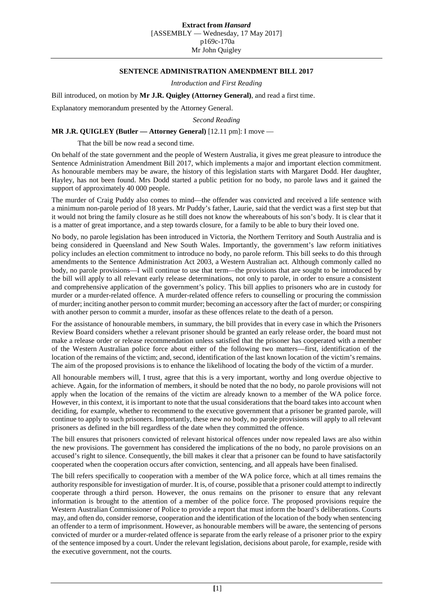## **Extract from** *Hansard*

[ASSEMBLY — Wednesday, 17 May 2017] p169c-170a Mr John Quigley

## **SENTENCE ADMINISTRATION AMENDMENT BILL 2017**

*Introduction and First Reading*

Bill introduced, on motion by **Mr J.R. Quigley (Attorney General)**, and read a first time.

Explanatory memorandum presented by the Attorney General.

*Second Reading*

**MR J.R. QUIGLEY (Butler — Attorney General)** [12.11 pm]: I move —

That the bill be now read a second time.

On behalf of the state government and the people of Western Australia, it gives me great pleasure to introduce the Sentence Administration Amendment Bill 2017, which implements a major and important election commitment. As honourable members may be aware, the history of this legislation starts with Margaret Dodd. Her daughter, Hayley, has not been found. Mrs Dodd started a public petition for no body, no parole laws and it gained the support of approximately 40 000 people.

The murder of Craig Puddy also comes to mind—the offender was convicted and received a life sentence with a minimum non-parole period of 18 years. Mr Puddy's father, Laurie, said that the verdict was a first step but that it would not bring the family closure as he still does not know the whereabouts of his son's body. It is clear that it is a matter of great importance, and a step towards closure, for a family to be able to bury their loved one.

No body, no parole legislation has been introduced in Victoria, the Northern Territory and South Australia and is being considered in Queensland and New South Wales. Importantly, the government's law reform initiatives policy includes an election commitment to introduce no body, no parole reform. This bill seeks to do this through amendments to the Sentence Administration Act 2003, a Western Australian act. Although commonly called no body, no parole provisions—I will continue to use that term—the provisions that are sought to be introduced by the bill will apply to all relevant early release determinations, not only to parole, in order to ensure a consistent and comprehensive application of the government's policy. This bill applies to prisoners who are in custody for murder or a murder-related offence. A murder-related offence refers to counselling or procuring the commission of murder; inciting another person to commit murder; becoming an accessory after the fact of murder; or conspiring with another person to commit a murder, insofar as these offences relate to the death of a person.

For the assistance of honourable members, in summary, the bill provides that in every case in which the Prisoners Review Board considers whether a relevant prisoner should be granted an early release order, the board must not make a release order or release recommendation unless satisfied that the prisoner has cooperated with a member of the Western Australian police force about either of the following two matters—first, identification of the location of the remains of the victim; and, second, identification of the last known location of the victim's remains. The aim of the proposed provisions is to enhance the likelihood of locating the body of the victim of a murder.

All honourable members will, I trust, agree that this is a very important, worthy and long overdue objective to achieve. Again, for the information of members, it should be noted that the no body, no parole provisions will not apply when the location of the remains of the victim are already known to a member of the WA police force. However, in this context, it is important to note that the usual considerations that the board takes into account when deciding, for example, whether to recommend to the executive government that a prisoner be granted parole, will continue to apply to such prisoners. Importantly, these new no body, no parole provisions will apply to all relevant prisoners as defined in the bill regardless of the date when they committed the offence.

The bill ensures that prisoners convicted of relevant historical offences under now repealed laws are also within the new provisions. The government has considered the implications of the no body, no parole provisions on an accused's right to silence. Consequently, the bill makes it clear that a prisoner can be found to have satisfactorily cooperated when the cooperation occurs after conviction, sentencing, and all appeals have been finalised.

The bill refers specifically to cooperation with a member of the WA police force, which at all times remains the authority responsible for investigation of murder. It is, of course, possible that a prisoner could attempt to indirectly cooperate through a third person. However, the onus remains on the prisoner to ensure that any relevant information is brought to the attention of a member of the police force. The proposed provisions require the Western Australian Commissioner of Police to provide a report that must inform the board's deliberations. Courts may, and often do, consider remorse, cooperation and the identification of the location of the body when sentencing an offender to a term of imprisonment. However, as honourable members will be aware, the sentencing of persons convicted of murder or a murder-related offence is separate from the early release of a prisoner prior to the expiry of the sentence imposed by a court. Under the relevant legislation, decisions about parole, for example, reside with the executive government, not the courts.